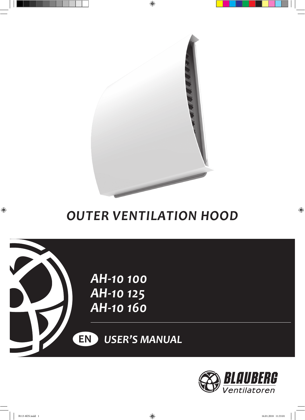

 $\bigoplus$ 

# *Outer ventilation hood*





 $\bigoplus$ 

 $\bigoplus$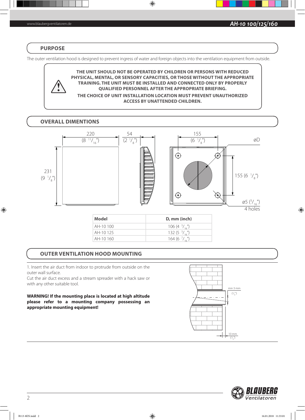#### **PURPOSE**

The outer ventilation hood is designed to prevent ingress of water and foreign objects into the ventilation equipment from outside.

 $\bigoplus$ 

**THE UNIT SHOULD NOT BE OPERATED BY CHILDREN OR PERSONS WITH REDUCED PHYSICAL, MENTAL, OR SENSORY CAPACITIES, OR THOSE WITHOUT THE APPROPRIATE TRAINING. THE UNIT MUST BE INSTALLED AND CONNECTED ONLY BY PROPERLY QUALIFIED PERSONNEL AFTER THE APPROPRIATE BRIEFING. THE CHOICE OF UNIT INSTALLATION LOCATION MUST PREVENT UNAUTHORIZED** 

**ACCESS BY UNATTENDED CHILDREN.**

## **OVERALL DIMENTIONS**



## **OUTER VENTILATION HOOD MOUNTING**

1. Insert the air duct from indoor to protrude from outside on the outer wall surface.

Cut the air duct excess and a stream spreader with a hack saw or with any other suitable tool.

**WARNING! If the mounting place is located at high altitude please refer to a mounting company possessing an appropriate mounting equipment!**





 $\bigoplus$ 

 $\bigcirc$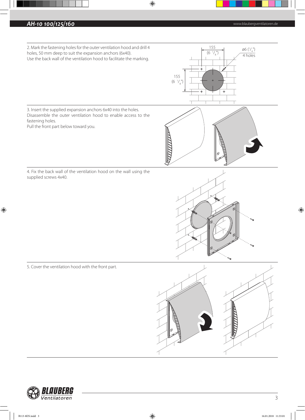## **AH-10 100/125/160 AH-10 100/125/160 AH-10 100/125/160 AH-10 100/125/160 AH-10 100/125/160 AH-10 100/125/160 AH-10** 100/125/160 **AH-10** 100/125/160 **AH-10** 100/125/160 **AH-10** 100/125/160 **AH-10** 100 100 100 10



 $\bigoplus$ 



 $\bigoplus$ 

 $\bigoplus$